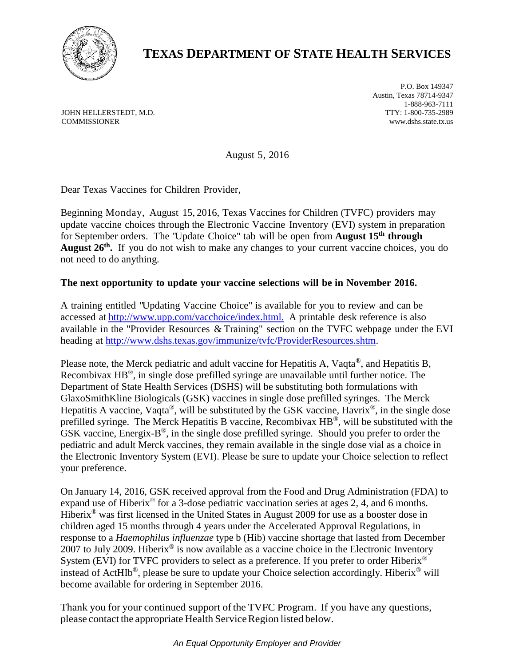

## **TEXAS DEPARTMENT OF STATE HEALTH SERVICES**

JOHN HELLERSTEDT, M.D. COMMISSIONER

P.O. Box 149347 Austin, Texas 78714-9347 1-888-963-7111 TTY: 1-800-735-2989 www.dshs.state.tx.us

August 5, 2016

Dear Texas Vaccines for Children Provider,

Beginning Monday, August 15, 2016, Texas Vaccines for Children (TVFC) providers may update vaccine choices through the Electronic Vaccine Inventory (EVI) system in preparation for September orders. The "Update Choice" tab will be open from **August 15th through August 26th .** If you do not wish to make any changes to your current vaccine choices, you do not need to do anything.

## **The next opportunity to update your vaccine selections will be in November 2016.**

A training entitled "Updating Vaccine Choice" is available for you to review and can be accessed at [http://www.upp.com/vacchoice/index.html.](http://www.upp.com/vacchoice/index.html) A printable desk reference is also available in the "Provider Resources & Training" section on the TVFC webpage under the EVI heading at [http://www.dshs.texas.gov/immunize/tvfc/ProviderResources.shtm.](http://www.dshs.texas.gov/immunize/tvfc/ProviderResources.shtm)

Please note, the Merck pediatric and adult vaccine for Hepatitis A, Vaqta<sup>®</sup>, and Hepatitis B, Recombivax HB®, in single dose prefilled syringe are unavailable until further notice. The Department of State Health Services (DSHS) will be substituting both formulations with GlaxoSmithKline Biologicals (GSK) vaccines in single dose prefilled syringes. The Merck Hepatitis A vaccine, Vaqta<sup>®</sup>, will be substituted by the GSK vaccine, Havrix<sup>®</sup>, in the single dose prefilled syringe. The Merck Hepatitis B vaccine, Recombivax HB®, will be substituted with the GSK vaccine, Energix- $B^{\circledR}$ , in the single dose prefilled syringe. Should you prefer to order the pediatric and adult Merck vaccines, they remain available in the single dose vial as a choice in the Electronic Inventory System (EVI). Please be sure to update your Choice selection to reflect your preference.

On January 14, 2016, GSK received approval from the Food and Drug Administration (FDA) to expand use of Hiberix<sup>®</sup> for a 3-dose pediatric vaccination series at ages 2, 4, and 6 months. Hiberix® was first licensed in the United States in August 2009 for use as a booster dose in children aged 15 months through 4 years under the Accelerated Approval Regulations, in response to a *Haemophilus influenzae* type b (Hib) vaccine shortage that lasted from December  $2007$  to July 2009. Hiberix<sup>®</sup> is now available as a vaccine choice in the Electronic Inventory System (EVI) for TVFC providers to select as a preference. If you prefer to order Hiberix<sup>®</sup> instead of ActHIb®, please be sure to update your Choice selection accordingly. Hiberix® will become available for ordering in September 2016.

Thank you for your continued support of the TVFC Program. If you have any questions, please contact the appropriate Health Service Region listed below.

*An Equal Opportunity Employer and Provider*